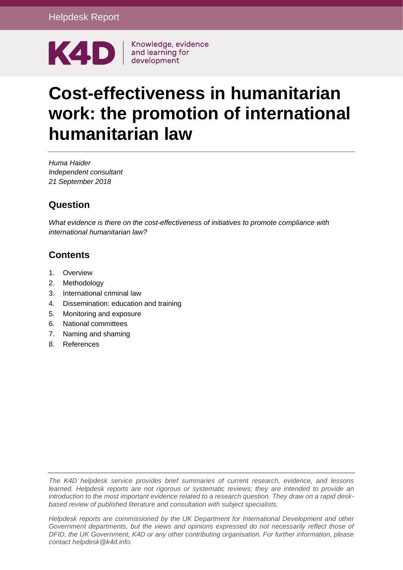

# **Cost-effectiveness in humanitarian work: the promotion of international humanitarian law**

*Huma Haider Independent consultant 21 September 2018*

## **Question**

*What evidence is there on the cost-effectiveness of initiatives to promote compliance with international humanitarian law?*

## **Contents**

- 1. [Overview](#page-1-0)
- 2. [Methodology](#page-1-1)
- 3. [International criminal law](#page-2-0)
- 4. [Dissemination: education and training](#page-4-0)
- 5. [Monitoring and exposure](#page-5-0)
- 6. [National committees](#page-6-0)
- 7. [Naming and shaming](#page-6-1)
- 8. [References](#page-7-0)

*The K4D helpdesk service provides brief summaries of current research, evidence, and lessons learned. Helpdesk reports are not rigorous or systematic reviews; they are intended to provide an introduction to the most important evidence related to a research question. They draw on a rapid deskbased review of published literature and consultation with subject specialists.* 

*Helpdesk reports are commissioned by the UK Department for International Development and other Government departments, but the views and opinions expressed do not necessarily reflect those of DFID, the UK Government, K4D or any other contributing organisation. For further information, please contact helpdesk@k4d.info.*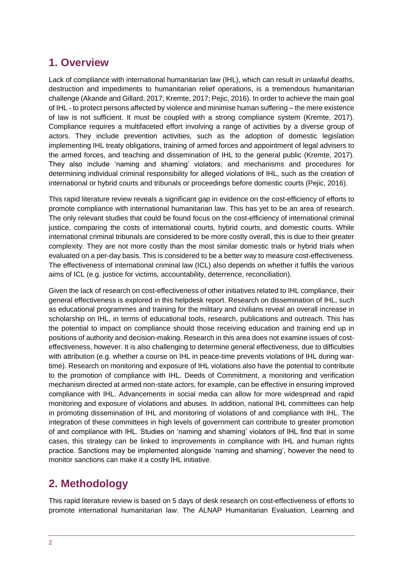## <span id="page-1-0"></span>**1. Overview**

Lack of compliance with international humanitarian law (IHL), which can result in unlawful deaths, destruction and impediments to humanitarian relief operations, is a tremendous humanitarian challenge (Akande and Gillard, 2017; Kremte, 2017; Pejic, 2016). In order to achieve the main goal of IHL - to protect persons affected by violence and minimise human suffering – the mere existence of law is not sufficient. It must be coupled with a strong compliance system (Kremte, 2017). Compliance requires a multifaceted effort involving a range of activities by a diverse group of actors. They include prevention activities, such as the adoption of domestic legislation implementing IHL treaty obligations, training of armed forces and appointment of legal advisers to the armed forces, and teaching and dissemination of IHL to the general public (Kremte, 2017). They also include 'naming and shaming' violators; and mechanisms and procedures for determining individual criminal responsibility for alleged violations of IHL, such as the creation of international or hybrid courts and tribunals or proceedings before domestic courts (Pejic, 2016).

This rapid literature review reveals a significant gap in evidence on the cost-efficiency of efforts to promote compliance with international humanitarian law. This has yet to be an area of research. The only relevant studies that could be found focus on the cost-efficiency of international criminal justice, comparing the costs of international courts, hybrid courts, and domestic courts. While international criminal tribunals are considered to be more costly overall, this is due to their greater complexity. They are not more costly than the most similar domestic trials or hybrid trials when evaluated on a per-day basis. This is considered to be a better way to measure cost-effectiveness. The effectiveness of international criminal law (ICL) also depends on whether it fulfils the various aims of ICL (e.g. justice for victims, accountability, deterrence, reconciliation).

Given the lack of research on cost-effectiveness of other initiatives related to IHL compliance, their general effectiveness is explored in this helpdesk report. Research on dissemination of IHL, such as educational programmes and training for the military and civilians reveal an overall increase in scholarship on IHL, in terms of educational tools, research, publications and outreach. This has the potential to impact on compliance should those receiving education and training end up in positions of authority and decision-making. Research in this area does not examine issues of costeffectiveness, however. It is also challenging to determine general effectiveness, due to difficulties with attribution (e.g. whether a course on IHL in peace-time prevents violations of IHL during wartime). Research on monitoring and exposure of IHL violations also have the potential to contribute to the promotion of compliance with IHL. Deeds of Commitment, a monitoring and verification mechanism directed at armed non-state actors, for example, can be effective in ensuring improved compliance with IHL. Advancements in social media can allow for more widespread and rapid monitoring and exposure of violations and abuses. In addition, national IHL committees can help in promoting dissemination of IHL and monitoring of violations of and compliance with IHL. The integration of these committees in high levels of government can contribute to greater promotion of and compliance with IHL. Studies on 'naming and shaming' violators of IHL find that in some cases, this strategy can be linked to improvements in compliance with IHL and human rights practice. Sanctions may be implemented alongside 'naming and shaming', however the need to monitor sanctions can make it a costly IHL initiative.

# <span id="page-1-1"></span>**2. Methodology**

This rapid literature review is based on 5 days of desk research on cost-effectiveness of efforts to promote international humanitarian law. The ALNAP Humanitarian Evaluation, Learning and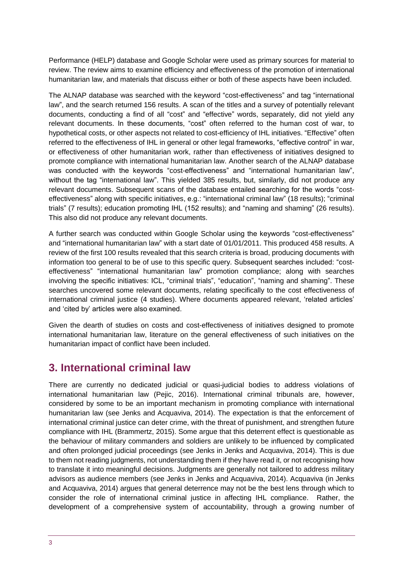Performance (HELP) database and Google Scholar were used as primary sources for material to review. The review aims to examine efficiency and effectiveness of the promotion of international humanitarian law, and materials that discuss either or both of these aspects have been included.

The ALNAP database was searched with the keyword "cost-effectiveness" and tag "international law", and the search returned 156 results. A scan of the titles and a survey of potentially relevant documents, conducting a find of all "cost" and "effective" words, separately, did not yield any relevant documents. In these documents, "cost" often referred to the human cost of war, to hypothetical costs, or other aspects not related to cost-efficiency of IHL initiatives. "Effective" often referred to the effectiveness of IHL in general or other legal frameworks, "effective control" in war, or effectiveness of other humanitarian work, rather than effectiveness of initiatives designed to promote compliance with international humanitarian law. Another search of the ALNAP database was conducted with the keywords "cost-effectiveness" and "international humanitarian law", without the tag "international law". This yielded 385 results, but, similarly, did not produce any relevant documents. Subsequent scans of the database entailed searching for the words "costeffectiveness" along with specific initiatives, e.g.: "international criminal law" (18 results); "criminal trials" (7 results); education promoting IHL (152 results); and "naming and shaming" (26 results). This also did not produce any relevant documents.

A further search was conducted within Google Scholar using the keywords "cost-effectiveness" and "international humanitarian law" with a start date of 01/01/2011. This produced 458 results. A review of the first 100 results revealed that this search criteria is broad, producing documents with information too general to be of use to this specific query. Subsequent searches included: "costeffectiveness" "international humanitarian law" promotion compliance; along with searches involving the specific initiatives: ICL, "criminal trials", "education", "naming and shaming". These searches uncovered some relevant documents, relating specifically to the cost effectiveness of international criminal justice (4 studies). Where documents appeared relevant, 'related articles' and 'cited by' articles were also examined.

Given the dearth of studies on costs and cost-effectiveness of initiatives designed to promote international humanitarian law, literature on the general effectiveness of such initiatives on the humanitarian impact of conflict have been included.

## <span id="page-2-0"></span>**3. International criminal law**

There are currently no dedicated judicial or quasi-judicial bodies to address violations of international humanitarian law (Pejic, 2016). International criminal tribunals are, however, considered by some to be an important mechanism in promoting compliance with international humanitarian law (see Jenks and Acquaviva, 2014). The expectation is that the enforcement of international criminal justice can deter crime, with the threat of punishment, and strengthen future compliance with IHL (Brammertz, 2015). Some argue that this deterrent effect is questionable as the behaviour of military commanders and soldiers are unlikely to be influenced by complicated and often prolonged judicial proceedings (see Jenks in Jenks and Acquaviva, 2014). This is due to them not reading judgments, not understanding them if they have read it, or not recognising how to translate it into meaningful decisions. Judgments are generally not tailored to address military advisors as audience members (see Jenks in Jenks and Acquaviva, 2014). Acquaviva (in Jenks and Acquaviva, 2014) argues that general deterrence may not be the best lens through which to consider the role of international criminal justice in affecting IHL compliance. Rather, the development of a comprehensive system of accountability, through a growing number of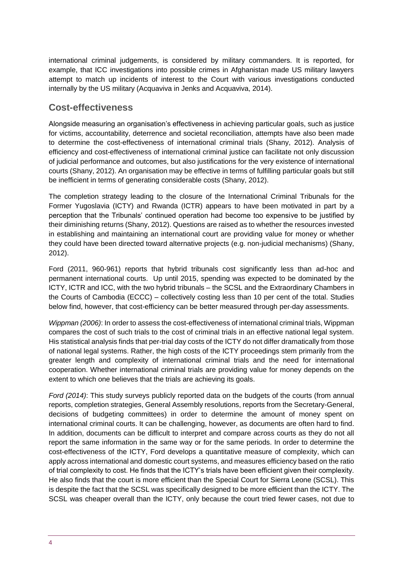international criminal judgements, is considered by military commanders. It is reported, for example, that ICC investigations into possible crimes in Afghanistan made US military lawyers attempt to match up incidents of interest to the Court with various investigations conducted internally by the US military (Acquaviva in Jenks and Acquaviva, 2014).

#### **Cost-effectiveness**

Alongside measuring an organisation's effectiveness in achieving particular goals, such as justice for victims, accountability, deterrence and societal reconciliation, attempts have also been made to determine the cost-effectiveness of international criminal trials (Shany, 2012). Analysis of efficiency and cost-effectiveness of international criminal justice can facilitate not only discussion of judicial performance and outcomes, but also justifications for the very existence of international courts (Shany, 2012). An organisation may be effective in terms of fulfilling particular goals but still be inefficient in terms of generating considerable costs (Shany, 2012).

The completion strategy leading to the closure of the International Criminal Tribunals for the Former Yugoslavia (ICTY) and Rwanda (ICTR) appears to have been motivated in part by a perception that the Tribunals' continued operation had become too expensive to be justified by their diminishing returns (Shany, 2012). Questions are raised as to whether the resources invested in establishing and maintaining an international court are providing value for money or whether they could have been directed toward alternative projects (e.g. non-judicial mechanisms) (Shany, 2012).

Ford (2011, 960-961) reports that hybrid tribunals cost significantly less than ad-hoc and permanent international courts. Up until 2015, spending was expected to be dominated by the ICTY, ICTR and ICC, with the two hybrid tribunals – the SCSL and the Extraordinary Chambers in the Courts of Cambodia (ECCC) – collectively costing less than 10 per cent of the total. Studies below find, however, that cost-efficiency can be better measured through per-day assessments.

*Wippman (2006)*: In order to assess the cost-effectiveness of international criminal trials, Wippman compares the cost of such trials to the cost of criminal trials in an effective national legal system. His statistical analysis finds that per-trial day costs of the ICTY do not differ dramatically from those of national legal systems. Rather, the high costs of the ICTY proceedings stem primarily from the greater length and complexity of international criminal trials and the need for international cooperation. Whether international criminal trials are providing value for money depends on the extent to which one believes that the trials are achieving its goals.

*Ford (2014)*: This study surveys publicly reported data on the budgets of the courts (from annual reports, completion strategies, General Assembly resolutions, reports from the Secretary-General, decisions of budgeting committees) in order to determine the amount of money spent on international criminal courts. It can be challenging, however, as documents are often hard to find. In addition, documents can be difficult to interpret and compare across courts as they do not all report the same information in the same way or for the same periods. In order to determine the cost-effectiveness of the ICTY, Ford develops a quantitative measure of complexity, which can apply across international and domestic court systems, and measures efficiency based on the ratio of trial complexity to cost. He finds that the ICTY's trials have been efficient given their complexity. He also finds that the court is more efficient than the Special Court for Sierra Leone (SCSL). This is despite the fact that the SCSL was specifically designed to be more efficient than the ICTY. The SCSL was cheaper overall than the ICTY, only because the court tried fewer cases, not due to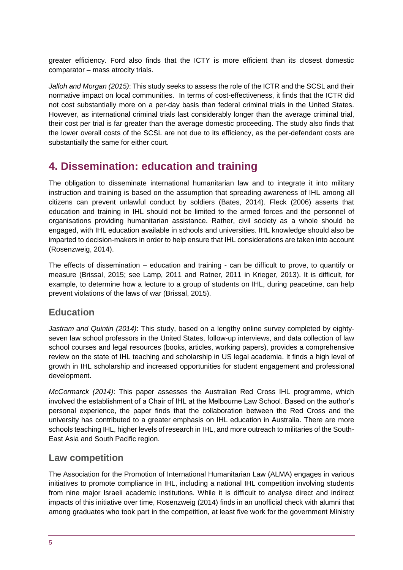greater efficiency. Ford also finds that the ICTY is more efficient than its closest domestic comparator – mass atrocity trials.

*Jalloh and Morgan (2015)*: This study seeks to assess the role of the ICTR and the SCSL and their normative impact on local communities. In terms of cost-effectiveness, it finds that the ICTR did not cost substantially more on a per-day basis than federal criminal trials in the United States. However, as international criminal trials last considerably longer than the average criminal trial, their cost per trial is far greater than the average domestic proceeding. The study also finds that the lower overall costs of the SCSL are not due to its efficiency, as the per-defendant costs are substantially the same for either court.

## <span id="page-4-0"></span>**4. Dissemination: education and training**

The obligation to disseminate international humanitarian law and to integrate it into military instruction and training is based on the assumption that spreading awareness of IHL among all citizens can prevent unlawful conduct by soldiers (Bates, 2014). Fleck (2006) asserts that education and training in IHL should not be limited to the armed forces and the personnel of organisations providing humanitarian assistance. Rather, civil society as a whole should be engaged, with IHL education available in schools and universities. IHL knowledge should also be imparted to decision-makers in order to help ensure that IHL considerations are taken into account (Rosenzweig, 2014).

The effects of dissemination – education and training - can be difficult to prove, to quantify or measure (Brissal, 2015; see Lamp, 2011 and Ratner, 2011 in Krieger, 2013). It is difficult, for example, to determine how a lecture to a group of students on IHL, during peacetime, can help prevent violations of the laws of war (Brissal, 2015).

#### **Education**

*Jastram and Quintin (2014)*: This study, based on a lengthy online survey completed by eightyseven law school professors in the United States, follow-up interviews, and data collection of law school courses and legal resources (books, articles, working papers), provides a comprehensive review on the state of IHL teaching and scholarship in US legal academia. It finds a high level of growth in IHL scholarship and increased opportunities for student engagement and professional development.

*McCormarck (2014)*: This paper assesses the Australian Red Cross IHL programme, which involved the establishment of a Chair of IHL at the Melbourne Law School. Based on the author's personal experience, the paper finds that the collaboration between the Red Cross and the university has contributed to a greater emphasis on IHL education in Australia. There are more schools teaching IHL, higher levels of research in IHL, and more outreach to militaries of the South-East Asia and South Pacific region.

#### **Law competition**

The Association for the Promotion of International Humanitarian Law (ALMA) engages in various initiatives to promote compliance in IHL, including a national IHL competition involving students from nine major Israeli academic institutions. While it is difficult to analyse direct and indirect impacts of this initiative over time, Rosenzweig (2014) finds in an unofficial check with alumni that among graduates who took part in the competition, at least five work for the government Ministry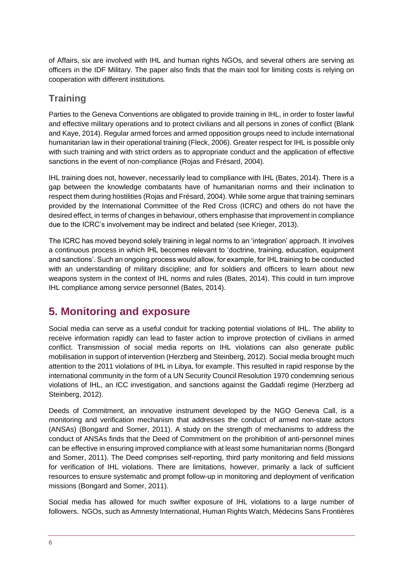of Affairs, six are involved with IHL and human rights NGOs, and several others are serving as officers in the IDF Military. The paper also finds that the main tool for limiting costs is relying on cooperation with different institutions.

## **Training**

Parties to the Geneva Conventions are obligated to provide training in IHL, in order to foster lawful and effective military operations and to protect civilians and all persons in zones of conflict (Blank and Kaye, 2014). Regular armed forces and armed opposition groups need to include international humanitarian law in their operational training (Fleck, 2006). Greater respect for IHL is possible only with such training and with strict orders as to appropriate conduct and the application of effective sanctions in the event of non-compliance (Rojas and Frésard, 2004).

IHL training does not, however, necessarily lead to compliance with IHL (Bates, 2014). There is a gap between the knowledge combatants have of humanitarian norms and their inclination to respect them during hostilities (Rojas and Frésard, 2004). While some argue that training seminars provided by the International Committee of the Red Cross (ICRC) and others do not have the desired effect, in terms of changes in behaviour, others emphasise that improvement in compliance due to the ICRC's involvement may be indirect and belated (see Krieger, 2013).

The ICRC has moved beyond solely training in legal norms to an 'integration' approach. It involves a continuous process in which IHL becomes relevant to 'doctrine, training, education, equipment and sanctions'. Such an ongoing process would allow, for example, for IHL training to be conducted with an understanding of military discipline; and for soldiers and officers to learn about new weapons system in the context of IHL norms and rules (Bates, 2014). This could in turn improve IHL compliance among service personnel (Bates, 2014).

# <span id="page-5-0"></span>**5. Monitoring and exposure**

Social media can serve as a useful conduit for tracking potential violations of IHL. The ability to receive information rapidly can lead to faster action to improve protection of civilians in armed conflict. Transmission of social media reports on IHL violations can also generate public mobilisation in support of intervention (Herzberg and Steinberg, 2012). Social media brought much attention to the 2011 violations of IHL in Libya, for example. This resulted in rapid response by the international community in the form of a UN Security Council Resolution 1970 condemning serious violations of IHL, an ICC investigation, and sanctions against the Gaddafi regime (Herzberg ad Steinberg, 2012).

Deeds of Commitment, an innovative instrument developed by the NGO Geneva Call, is a monitoring and verification mechanism that addresses the conduct of armed non-state actors (ANSAs) (Bongard and Somer, 2011). A study on the strength of mechanisms to address the conduct of ANSAs finds that the Deed of Commitment on the prohibition of anti-personnel mines can be effective in ensuring improved compliance with at least some humanitarian norms (Bongard and Somer, 2011). The Deed comprises self-reporting, third party monitoring and field missions for verification of IHL violations. There are limitations, however, primarily a lack of sufficient resources to ensure systematic and prompt follow-up in monitoring and deployment of verification missions (Bongard and Somer, 2011).

Social media has allowed for much swifter exposure of IHL violations to a large number of followers. NGOs, such as Amnesty International, Human Rights Watch, Médecins Sans Frontières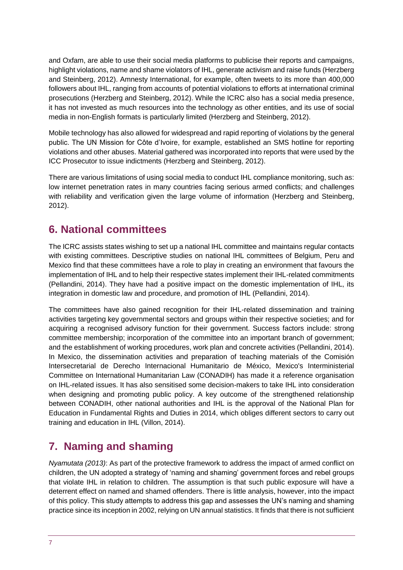and Oxfam, are able to use their social media platforms to publicise their reports and campaigns, highlight violations, name and shame violators of IHL, generate activism and raise funds (Herzberg and Steinberg, 2012). Amnesty International, for example, often tweets to its more than 400,000 followers about IHL, ranging from accounts of potential violations to efforts at international criminal prosecutions (Herzberg and Steinberg, 2012). While the ICRC also has a social media presence, it has not invested as much resources into the technology as other entities, and its use of social media in non-English formats is particularly limited (Herzberg and Steinberg, 2012).

Mobile technology has also allowed for widespread and rapid reporting of violations by the general public. The UN Mission for Côte d'Ivoire, for example, established an SMS hotline for reporting violations and other abuses. Material gathered was incorporated into reports that were used by the ICC Prosecutor to issue indictments (Herzberg and Steinberg, 2012).

There are various limitations of using social media to conduct IHL compliance monitoring, such as: low internet penetration rates in many countries facing serious armed conflicts; and challenges with reliability and verification given the large volume of information (Herzberg and Steinberg, 2012).

# <span id="page-6-0"></span>**6. National committees**

The ICRC assists states wishing to set up a national IHL committee and maintains regular contacts with existing committees. Descriptive studies on national IHL committees of Belgium, Peru and Mexico find that these committees have a role to play in creating an environment that favours the implementation of IHL and to help their respective states implement their IHL-related commitments (Pellandini, 2014). They have had a positive impact on the domestic implementation of IHL, its integration in domestic law and procedure, and promotion of IHL (Pellandini, 2014).

The committees have also gained recognition for their IHL-related dissemination and training activities targeting key governmental sectors and groups within their respective societies; and for acquiring a recognised advisory function for their government. Success factors include: strong committee membership; incorporation of the committee into an important branch of government; and the establishment of working procedures, work plan and concrete activities (Pellandini, 2014). In Mexico, the dissemination activities and preparation of teaching materials of the Comisión Intersecretarial de Derecho Internacional Humanitario de México, Mexico's Interministerial Committee on International Humanitarian Law (CONADIH) has made it a reference organisation on IHL-related issues. It has also sensitised some decision-makers to take IHL into consideration when designing and promoting public policy. A key outcome of the strengthened relationship between CONADIH, other national authorities and IHL is the approval of the National Plan for Education in Fundamental Rights and Duties in 2014, which obliges different sectors to carry out training and education in IHL (Villon, 2014).

# <span id="page-6-1"></span>**7. Naming and shaming**

*Nyamutata (2013)*: As part of the protective framework to address the impact of armed conflict on children, the UN adopted a strategy of 'naming and shaming' government forces and rebel groups that violate IHL in relation to children. The assumption is that such public exposure will have a deterrent effect on named and shamed offenders. There is little analysis, however, into the impact of this policy. This study attempts to address this gap and assesses the UN's naming and shaming practice since its inception in 2002, relying on UN annual statistics. It finds that there is not sufficient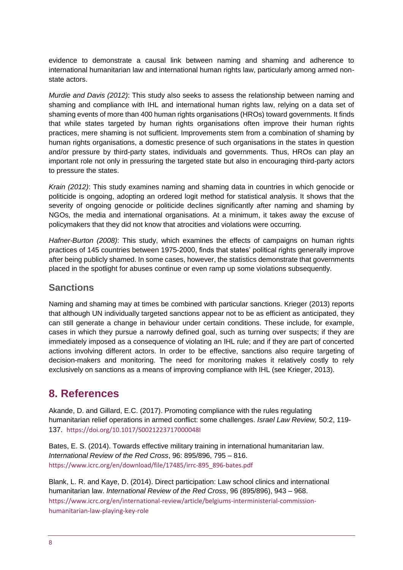evidence to demonstrate a causal link between naming and shaming and adherence to international humanitarian law and international human rights law, particularly among armed nonstate actors.

*Murdie and Davis (2012)*: This study also seeks to assess the relationship between naming and shaming and compliance with IHL and international human rights law, relying on a data set of shaming events of more than 400 human rights organisations (HROs) toward governments. It finds that while states targeted by human rights organisations often improve their human rights practices, mere shaming is not sufficient. Improvements stem from a combination of shaming by human rights organisations, a domestic presence of such organisations in the states in question and/or pressure by third-party states, individuals and governments. Thus, HROs can play an important role not only in pressuring the targeted state but also in encouraging third-party actors to pressure the states.

*Krain (2012)*: This study examines naming and shaming data in countries in which genocide or politicide is ongoing, adopting an ordered logit method for statistical analysis. It shows that the severity of ongoing genocide or politicide declines significantly after naming and shaming by NGOs, the media and international organisations. At a minimum, it takes away the excuse of policymakers that they did not know that atrocities and violations were occurring.

*Hafner-Burton (2008)*: This study, which examines the effects of campaigns on human rights practices of 145 countries between 1975-2000, finds that states' political rights generally improve after being publicly shamed. In some cases, however, the statistics demonstrate that governments placed in the spotlight for abuses continue or even ramp up some violations subsequently.

#### **Sanctions**

Naming and shaming may at times be combined with particular sanctions. Krieger (2013) reports that although UN individually targeted sanctions appear not to be as efficient as anticipated, they can still generate a change in behaviour under certain conditions. These include, for example, cases in which they pursue a narrowly defined goal, such as turning over suspects; if they are immediately imposed as a consequence of violating an IHL rule; and if they are part of concerted actions involving different actors. In order to be effective, sanctions also require targeting of decision-makers and monitoring. The need for monitoring makes it relatively costly to rely exclusively on sanctions as a means of improving compliance with IHL (see Krieger, 2013).

## <span id="page-7-0"></span>**8. References**

Akande, D. and Gillard, E.C. (2017). Promoting compliance with the rules regulating humanitarian relief operations in armed conflict: some challenges. *Israel Law Review,* 50:2, 119- 137. <https://doi.org/10.1017/S0021223717000048I>

Bates, E. S. (2014). Towards effective military training in international humanitarian law. *International Review of the Red Cross*, 96: 895/896, 795 – 816. [https://www.icrc.org/en/download/file/17485/irrc-895\\_896-bates.pdf](https://www.icrc.org/en/download/file/17485/irrc-895_896-bates.pdf)

Blank, L. R. and Kaye, D. (2014). Direct participation: Law school clinics and international humanitarian law. *International Review of the Red Cross*, 96 (895/896), 943 – 968. [https://www.icrc.org/en/international-review/article/belgiums-interministerial-commission](https://www.icrc.org/en/international-review/article/belgiums-interministerial-commission-humanitarian-law-playing-key-role)[humanitarian-law-playing-key-role](https://www.icrc.org/en/international-review/article/belgiums-interministerial-commission-humanitarian-law-playing-key-role)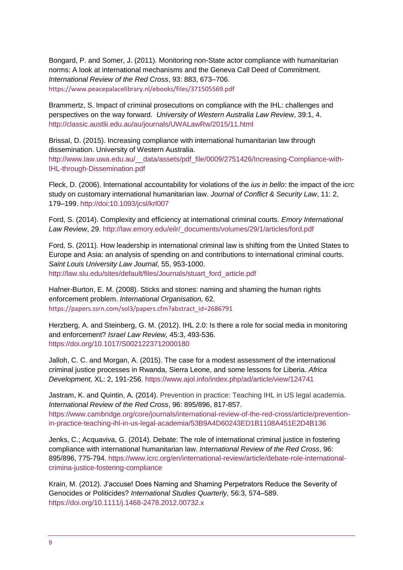Bongard, P. and Somer, J. (2011). Monitoring non-State actor compliance with humanitarian norms: A look at international mechanisms and the Geneva Call Deed of Commitment. *International Review of the Red Cross*, 93: 883, 673–706. <https://www.peacepalacelibrary.nl/ebooks/files/371505569.pdf>

Brammertz, S. Impact of criminal prosecutions on compliance with the IHL: challenges and perspectives on the way forward. *University of Western Australia Law Review*, 39:1, 4. <http://classic.austlii.edu.au/au/journals/UWALawRw/2015/11.html>

Brissal, D. (2015). Increasing compliance with international humanitarian law through dissemination. University of Western Australia. [http://www.law.uwa.edu.au/\\_\\_data/assets/pdf\\_file/0009/2751426/Increasing-Compliance-with-](http://www.law.uwa.edu.au/__data/assets/pdf_file/0009/2751426/Increasing-Compliance-with-IHL-through-Dissemination.pdf)[IHL-through-Dissemination.pdf](http://www.law.uwa.edu.au/__data/assets/pdf_file/0009/2751426/Increasing-Compliance-with-IHL-through-Dissemination.pdf)

Fleck, D. (2006). International accountability for violations of the *ius in bello*: the impact of the icrc study on customary international humanitarian law. *Journal of Conflict & Security Law*, 11: 2, 179–199.<http://doi:10.1093/jcsl/krl007>

Ford, S. (2014). Complexity and efficiency at international criminal courts. *Emory International Law Review*, 29. [http://law.emory.edu/eilr/\\_documents/volumes/29/1/articles/ford.pdf](http://law.emory.edu/eilr/_documents/volumes/29/1/articles/ford.pdf)

Ford, S. (2011). How leadership in international criminal law is shifting from the United States to Europe and Asia: an analysis of spending on and contributions to international criminal courts. *Saint Louis University Law Journal,* 55, 953-1000. [http://law.slu.edu/sites/default/files/Journals/stuart\\_ford\\_article.pdf](http://law.slu.edu/sites/default/files/Journals/stuart_ford_article.pdf)

Hafner-Burton, E. M. (2008). Sticks and stones: naming and shaming the human rights enforcement problem. *International Organisation,* 62. [https://papers.ssrn.com/sol3/papers.cfm?abstract\\_id=2686791](https://papers.ssrn.com/sol3/papers.cfm?abstract_id=2686791)

Herzberg, A. and Steinberg, G. M. (2012). IHL 2.0: Is there a role for social media in monitoring and enforcement? *Israel Law Review,* 45:3, 493-536. <https://doi.org/10.1017/S0021223712000180>

Jalloh, C. C. and Morgan, A. (2015). The case for a modest assessment of the international criminal justice processes in Rwanda, Sierra Leone, and some lessons for Liberia. *Africa Development,* XL: 2, 191-256.<https://www.ajol.info/index.php/ad/article/view/124741>

Jastram, K. and Quintin, A. (2014). Prevention in practice: Teaching IHL in US legal academia. *International Review of the Red Cross*, 96: 895/896, 817-857. [https://www.cambridge.org/core/journals/international-review-of-the-red-cross/article/prevention](https://www.cambridge.org/core/journals/international-review-of-the-red-cross/article/prevention-in-practice-teaching-ihl-in-us-legal-academia/53B9A4D60243ED1B1108A451E2D4B136)[in-practice-teaching-ihl-in-us-legal-academia/53B9A4D60243ED1B1108A451E2D4B136](https://www.cambridge.org/core/journals/international-review-of-the-red-cross/article/prevention-in-practice-teaching-ihl-in-us-legal-academia/53B9A4D60243ED1B1108A451E2D4B136)

Jenks, C.; Acquaviva, G. (2014). Debate: The role of international criminal justice in fostering compliance with international humanitarian law. *International Review of the Red Cross*, 96: 895/896, 775-794. [https://www.icrc.org/en/international-review/article/debate-role-international](https://www.icrc.org/en/international-review/article/debate-role-international-crimina-justice-fostering-compliance)[crimina-justice-fostering-compliance](https://www.icrc.org/en/international-review/article/debate-role-international-crimina-justice-fostering-compliance)

Krain, M. (2012). J'accuse! Does Naming and Shaming Perpetrators Reduce the Severity of Genocides or Politicides? *International Studies Quarterly,* 56:3, 574–589. <https://doi.org/10.1111/j.1468-2478.2012.00732.x>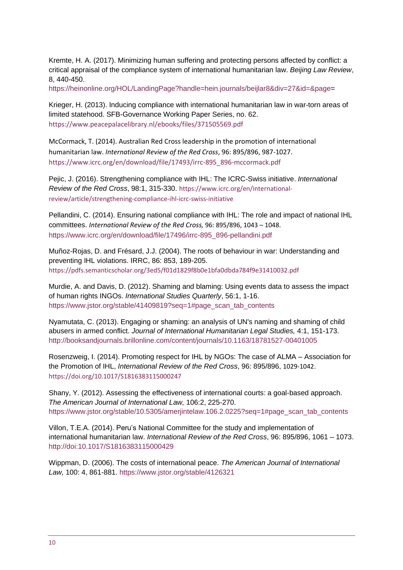Kremte, H. A. (2017). Minimizing human suffering and protecting persons affected by conflict: a critical appraisal of the compliance system of international humanitarian law. *Beijing Law Review*, 8, 440-450.

[https://heinonline.org/HOL/LandingPage?handle=hein.journals/beijlar8&div=27&id=&page=](https://heinonline.org/HOL/LandingPage?handle=hein.journals/beijlar8&div=27&id=&page)

Krieger, H. (2013). Inducing compliance with international humanitarian law in war-torn areas of limited statehood. SFB-Governance Working Paper Series, no. 62. <https://www.peacepalacelibrary.nl/ebooks/files/371505569.pdf>

McCormack, T. (2014). Australian Red Cross leadership in the promotion of international humanitarian law. *International Review of the Red Cross*, 96: 895/896, 987-1027. [https://www.icrc.org/en/download/file/17493/irrc-895\\_896-mccormack.pdf](https://www.icrc.org/en/download/file/17493/irrc-895_896-mccormack.pdf)

Pejic, J. (2016). Strengthening compliance with IHL: The ICRC-Swiss initiative. *International Review of the Red Cross*, 98:1, 315-330. [https://www.icrc.org/en/international](https://www.icrc.org/en/international-review/article/strengthening-compliance-ihl-icrc-swiss-initiative)[review/article/strengthening-compliance-ihl-icrc-swiss-initiative](https://www.icrc.org/en/international-review/article/strengthening-compliance-ihl-icrc-swiss-initiative)

Pellandini, C. (2014). Ensuring national compliance with IHL: The role and impact of national IHL committees. *International Review of the Red Cross,* 96: 895/896, 1043 – 1048. [https://www.icrc.org/en/download/file/17496/irrc-895\\_896-pellandini.pdf](https://www.icrc.org/en/download/file/17496/irrc-895_896-pellandini.pdf)

Muñoz-Rojas, D. and Frésard, J.J. (2004). The roots of behaviour in war: Understanding and preventing IHL violations. IRRC, 86: 853, 189-205. <https://pdfs.semanticscholar.org/3ed5/f01d1829f8b0e1bfa0dbda784f9e31410032.pdf>

Murdie, A. and Davis, D. (2012). Shaming and blaming: Using events data to assess the impact of human rights INGOs. *International Studies Quarterly*, 56:1, 1-16. [https://www.jstor.org/stable/41409819?seq=1#page\\_scan\\_tab\\_contents](https://www.jstor.org/stable/41409819?seq=1#page_scan_tab_contents)

Nyamutata, C. (2013). Engaging or shaming: an analysis of UN's naming and shaming of child abusers in armed conflict. *Journal of International Humanitarian Legal Studies,* 4:1, 151-173. <http://booksandjournals.brillonline.com/content/journals/10.1163/18781527-00401005>

Rosenzweig, I. (2014). Promoting respect for IHL by NGOs: The case of ALMA – Association for the Promotion of IHL, *International Review of the Red Cross*, 96: 895/896, 1029-1042. <https://doi.org/10.1017/S1816383115000247>

Shany, Y. (2012). Assessing the effectiveness of international courts: a goal-based approach. *The American Journal of International Law,* 106:2, 225-270. [https://www.jstor.org/stable/10.5305/amerjintelaw.106.2.0225?seq=1#page\\_scan\\_tab\\_contents](https://www.jstor.org/stable/10.5305/amerjintelaw.106.2.0225?seq=1#page_scan_tab_contents)

Villon, T.E.A. (2014). Peru's National Committee for the study and implementation of international humanitarian law. *International Review of the Red Cross*, 96: 895/896, 1061 – 1073. <http://doi:10.1017/S1816383115000429>

Wippman, D. (2006). The costs of international peace. *The American Journal of International Law,* 100: 4, 861-881.<https://www.jstor.org/stable/4126321>